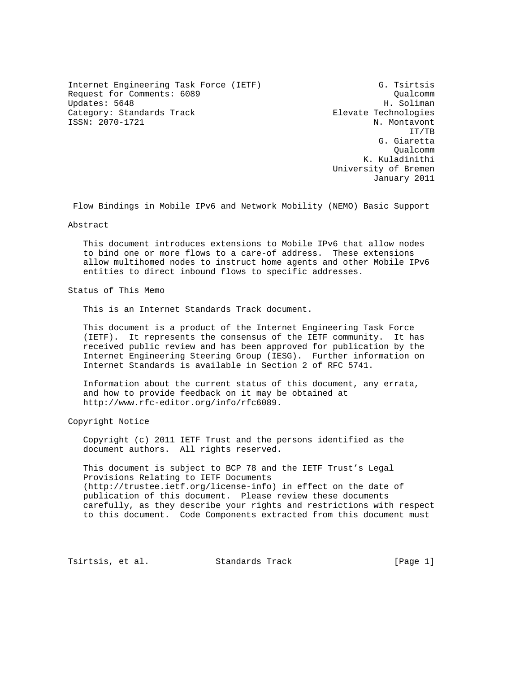Internet Engineering Task Force (IETF) G. Tsirtsis Request for Comments: 6089 Qualcomm Updates: 5648 Category: Standards Track Elevate Technologies ISSN: 2070-1721 N. Montavont

 IT/TB G. Giaretta Qualcomm K. Kuladinithi University of Bremen January 2011

Flow Bindings in Mobile IPv6 and Network Mobility (NEMO) Basic Support

Abstract

 This document introduces extensions to Mobile IPv6 that allow nodes to bind one or more flows to a care-of address. These extensions allow multihomed nodes to instruct home agents and other Mobile IPv6 entities to direct inbound flows to specific addresses.

Status of This Memo

This is an Internet Standards Track document.

 This document is a product of the Internet Engineering Task Force (IETF). It represents the consensus of the IETF community. It has received public review and has been approved for publication by the Internet Engineering Steering Group (IESG). Further information on Internet Standards is available in Section 2 of RFC 5741.

 Information about the current status of this document, any errata, and how to provide feedback on it may be obtained at http://www.rfc-editor.org/info/rfc6089.

Copyright Notice

 Copyright (c) 2011 IETF Trust and the persons identified as the document authors. All rights reserved.

 This document is subject to BCP 78 and the IETF Trust's Legal Provisions Relating to IETF Documents (http://trustee.ietf.org/license-info) in effect on the date of publication of this document. Please review these documents carefully, as they describe your rights and restrictions with respect to this document. Code Components extracted from this document must

Tsirtsis, et al. Standards Track [Page 1]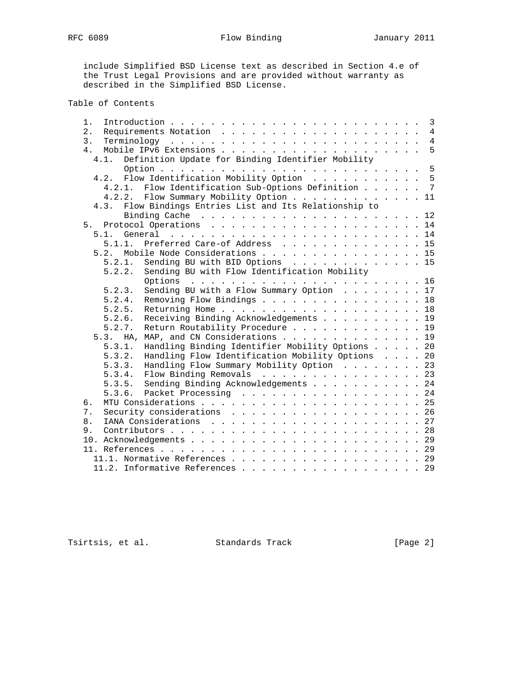RFC 6089 **Flow Binding** January 2011

 include Simplified BSD License text as described in Section 4.e of the Trust Legal Provisions and are provided without warranty as described in the Simplified BSD License.

# Table of Contents

| 1.                                                         |  |  | $\overline{3}$ |
|------------------------------------------------------------|--|--|----------------|
| 2.                                                         |  |  | $\overline{4}$ |
| 3.                                                         |  |  | $\overline{4}$ |
| 4 <sub>1</sub>                                             |  |  | 5              |
| 4.1. Definition Update for Binding Identifier Mobility     |  |  |                |
|                                                            |  |  |                |
| 4.2. Flow Identification Mobility Option 5                 |  |  |                |
| 4.2.1. Flow Identification Sub-Options Definition 7        |  |  |                |
| 4.2.2. Flow Summary Mobility Option 11                     |  |  |                |
| 4.3. Flow Bindings Entries List and Its Relationship to    |  |  |                |
|                                                            |  |  |                |
|                                                            |  |  |                |
| 5.1.                                                       |  |  |                |
| Preferred Care-of Address 15<br>5.1.1.                     |  |  |                |
|                                                            |  |  |                |
| 5.2. Mobile Node Considerations 15                         |  |  |                |
| Sending BU with BID Options 15<br>5.2.1.                   |  |  |                |
| Sending BU with Flow Identification Mobility<br>5.2.2.     |  |  |                |
|                                                            |  |  |                |
| Sending BU with a Flow Summary Option 17<br>5.2.3.         |  |  |                |
| Removing Flow Bindings 18<br>5.2.4.                        |  |  |                |
| 5.2.5.                                                     |  |  |                |
| Receiving Binding Acknowledgements 19<br>5.2.6.            |  |  |                |
| Return Routability Procedure 19<br>5.2.7.                  |  |  |                |
| 5.3. HA, MAP, and CN Considerations 19                     |  |  |                |
| Handling Binding Identifier Mobility Options 20<br>5.3.1.  |  |  |                |
| Handling Flow Identification Mobility Options 20<br>5.3.2. |  |  |                |
| Handling Flow Summary Mobility Option 23<br>5.3.3.         |  |  |                |
| Flow Binding Removals 23<br>5.3.4.                         |  |  |                |
| 5.3.5. Sending Binding Acknowledgements 24                 |  |  |                |
| 5.3.6. Packet Processing 24                                |  |  |                |
| б.                                                         |  |  |                |
| Security considerations 26<br>7.                           |  |  |                |
| 8.                                                         |  |  |                |
| 9.                                                         |  |  |                |
|                                                            |  |  |                |
|                                                            |  |  |                |
|                                                            |  |  |                |
| 11.1. Normative References 29                              |  |  |                |
| 11.2. Informative References 29                            |  |  |                |

Tsirtsis, et al. Standards Track [Page 2]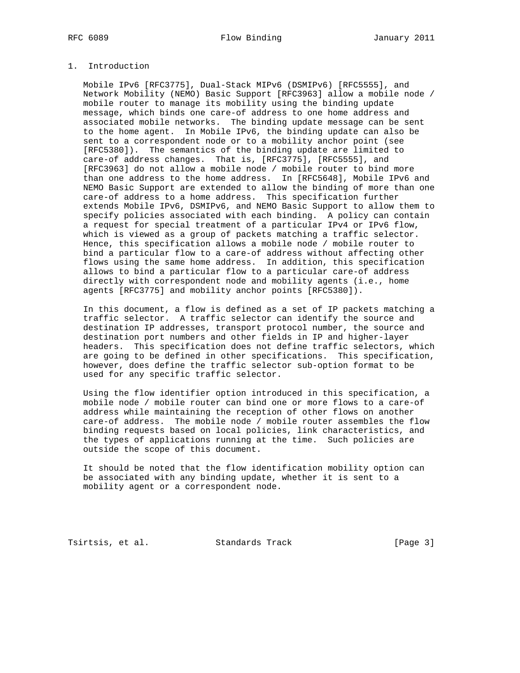# RFC 6089 **Flow Binding** January 2011

# 1. Introduction

 Mobile IPv6 [RFC3775], Dual-Stack MIPv6 (DSMIPv6) [RFC5555], and Network Mobility (NEMO) Basic Support [RFC3963] allow a mobile node / mobile router to manage its mobility using the binding update message, which binds one care-of address to one home address and associated mobile networks. The binding update message can be sent to the home agent. In Mobile IPv6, the binding update can also be sent to a correspondent node or to a mobility anchor point (see [RFC5380]). The semantics of the binding update are limited to care-of address changes. That is, [RFC3775], [RFC5555], and [RFC3963] do not allow a mobile node / mobile router to bind more than one address to the home address. In [RFC5648], Mobile IPv6 and NEMO Basic Support are extended to allow the binding of more than one care-of address to a home address. This specification further extends Mobile IPv6, DSMIPv6, and NEMO Basic Support to allow them to specify policies associated with each binding. A policy can contain a request for special treatment of a particular IPv4 or IPv6 flow, which is viewed as a group of packets matching a traffic selector. Hence, this specification allows a mobile node / mobile router to bind a particular flow to a care-of address without affecting other flows using the same home address. In addition, this specification allows to bind a particular flow to a particular care-of address directly with correspondent node and mobility agents (i.e., home agents [RFC3775] and mobility anchor points [RFC5380]).

 In this document, a flow is defined as a set of IP packets matching a traffic selector. A traffic selector can identify the source and destination IP addresses, transport protocol number, the source and destination port numbers and other fields in IP and higher-layer headers. This specification does not define traffic selectors, which are going to be defined in other specifications. This specification, however, does define the traffic selector sub-option format to be used for any specific traffic selector.

 Using the flow identifier option introduced in this specification, a mobile node / mobile router can bind one or more flows to a care-of address while maintaining the reception of other flows on another care-of address. The mobile node / mobile router assembles the flow binding requests based on local policies, link characteristics, and the types of applications running at the time. Such policies are outside the scope of this document.

 It should be noted that the flow identification mobility option can be associated with any binding update, whether it is sent to a mobility agent or a correspondent node.

Tsirtsis, et al. Standards Track [Page 3]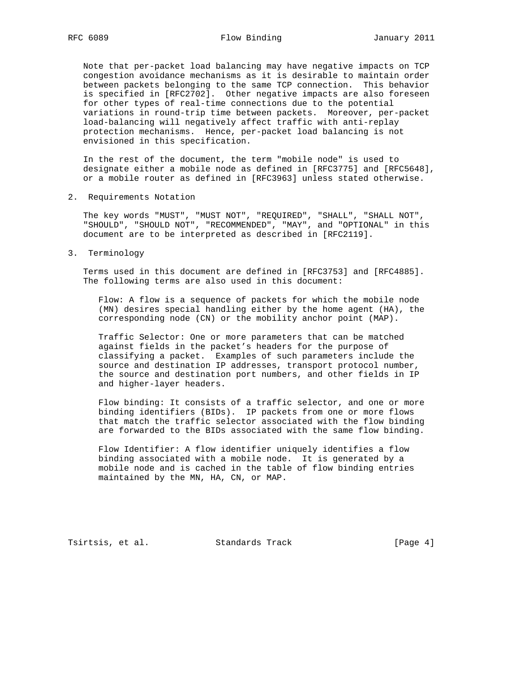Note that per-packet load balancing may have negative impacts on TCP congestion avoidance mechanisms as it is desirable to maintain order between packets belonging to the same TCP connection. This behavior is specified in [RFC2702]. Other negative impacts are also foreseen for other types of real-time connections due to the potential variations in round-trip time between packets. Moreover, per-packet load-balancing will negatively affect traffic with anti-replay protection mechanisms. Hence, per-packet load balancing is not envisioned in this specification.

 In the rest of the document, the term "mobile node" is used to designate either a mobile node as defined in [RFC3775] and [RFC5648], or a mobile router as defined in [RFC3963] unless stated otherwise.

2. Requirements Notation

 The key words "MUST", "MUST NOT", "REQUIRED", "SHALL", "SHALL NOT", "SHOULD", "SHOULD NOT", "RECOMMENDED", "MAY", and "OPTIONAL" in this document are to be interpreted as described in [RFC2119].

3. Terminology

 Terms used in this document are defined in [RFC3753] and [RFC4885]. The following terms are also used in this document:

 Flow: A flow is a sequence of packets for which the mobile node (MN) desires special handling either by the home agent (HA), the corresponding node (CN) or the mobility anchor point (MAP).

 Traffic Selector: One or more parameters that can be matched against fields in the packet's headers for the purpose of classifying a packet. Examples of such parameters include the source and destination IP addresses, transport protocol number, the source and destination port numbers, and other fields in IP and higher-layer headers.

 Flow binding: It consists of a traffic selector, and one or more binding identifiers (BIDs). IP packets from one or more flows that match the traffic selector associated with the flow binding are forwarded to the BIDs associated with the same flow binding.

 Flow Identifier: A flow identifier uniquely identifies a flow binding associated with a mobile node. It is generated by a mobile node and is cached in the table of flow binding entries maintained by the MN, HA, CN, or MAP.

Tsirtsis, et al. Standards Track [Page 4]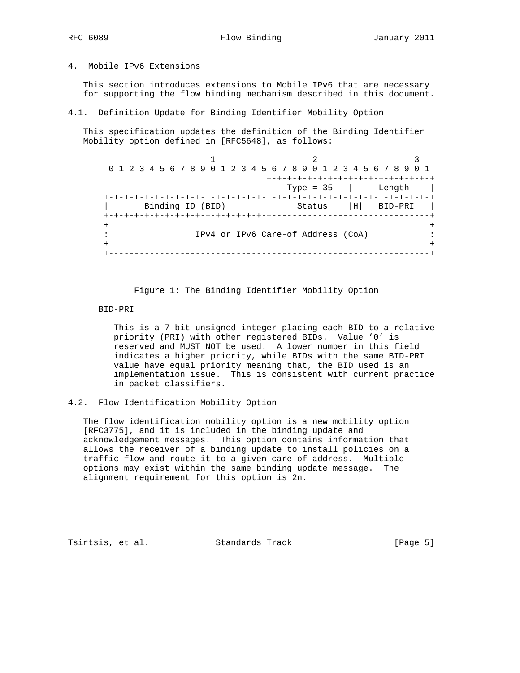# 4. Mobile IPv6 Extensions

 This section introduces extensions to Mobile IPv6 that are necessary for supporting the flow binding mechanism described in this document.

### 4.1. Definition Update for Binding Identifier Mobility Option

 This specification updates the definition of the Binding Identifier Mobility option defined in [RFC5648], as follows:

 $1$  2 3 0 1 2 3 4 5 6 7 8 9 0 1 2 3 4 5 6 7 8 9 0 1 2 3 4 5 6 7 8 9 0 1 +-+-+-+-+-+-+-+-+-+-+-+-+-+-+-+-+ | Type = 35 | Length | +-+-+-+-+-+-+-+-+-+-+-+-+-+-+-+-+-+-+-+-+-+-+-+-+-+-+-+-+-+-+-+-+ | Binding ID (BID) | Status |H| BID-PRI | +-+-+-+-+-+-+-+-+-+-+-+-+-+-+-+-+-------------------------------+ + + : IPv4 or IPv6 Care-of Address (CoA) : + + +---------------------------------------------------------------+

## Figure 1: The Binding Identifier Mobility Option

### BID-PRI

 This is a 7-bit unsigned integer placing each BID to a relative priority (PRI) with other registered BIDs. Value '0' is reserved and MUST NOT be used. A lower number in this field indicates a higher priority, while BIDs with the same BID-PRI value have equal priority meaning that, the BID used is an implementation issue. This is consistent with current practice in packet classifiers.

# 4.2. Flow Identification Mobility Option

 The flow identification mobility option is a new mobility option [RFC3775], and it is included in the binding update and acknowledgement messages. This option contains information that allows the receiver of a binding update to install policies on a traffic flow and route it to a given care-of address. Multiple options may exist within the same binding update message. The alignment requirement for this option is 2n.

Tsirtsis, et al. Standards Track [Page 5]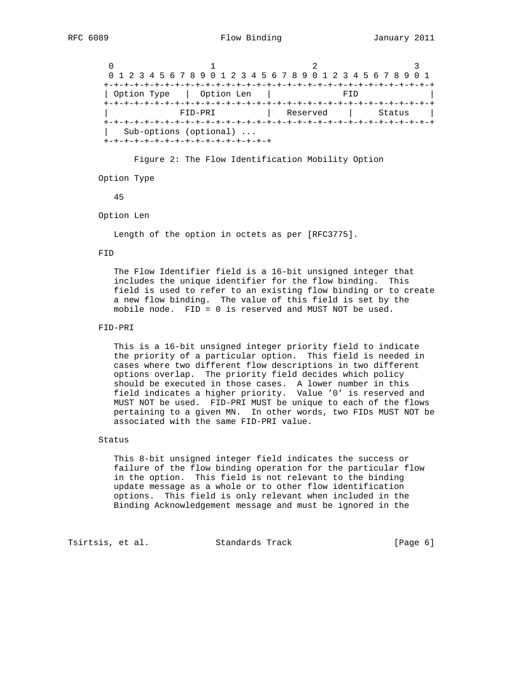$0$  1 2 3 0 1 2 3 4 5 6 7 8 9 0 1 2 3 4 5 6 7 8 9 0 1 2 3 4 5 6 7 8 9 0 1 +-+-+-+-+-+-+-+-+-+-+-+-+-+-+-+-+-+-+-+-+-+-+-+-+-+-+-+-+-+-+-+-+ | Option Type | Option Len | FID +-+-+-+-+-+-+-+-+-+-+-+-+-+-+-+-+-+-+-+-+-+-+-+-+-+-+-+-+-+-+-+-+ | FID-PRI | Reserved | Status | +-+-+-+-+-+-+-+-+-+-+-+-+-+-+-+-+-+-+-+-+-+-+-+-+-+-+-+-+-+-+-+-+ | Sub-options (optional) ... +-+-+-+-+-+-+-+-+-+-+-+-+-+-+-+-+

Figure 2: The Flow Identification Mobility Option

Option Type

45

Option Len

Length of the option in octets as per [RFC3775].

#### FID

 The Flow Identifier field is a 16-bit unsigned integer that includes the unique identifier for the flow binding. This field is used to refer to an existing flow binding or to create a new flow binding. The value of this field is set by the mobile node. FID = 0 is reserved and MUST NOT be used.

## FID-PRI

 This is a 16-bit unsigned integer priority field to indicate the priority of a particular option. This field is needed in cases where two different flow descriptions in two different options overlap. The priority field decides which policy should be executed in those cases. A lower number in this field indicates a higher priority. Value '0' is reserved and MUST NOT be used. FID-PRI MUST be unique to each of the flows pertaining to a given MN. In other words, two FIDs MUST NOT be associated with the same FID-PRI value.

### Status

 This 8-bit unsigned integer field indicates the success or failure of the flow binding operation for the particular flow in the option. This field is not relevant to the binding update message as a whole or to other flow identification options. This field is only relevant when included in the Binding Acknowledgement message and must be ignored in the

Tsirtsis, et al. Standards Track [Page 6]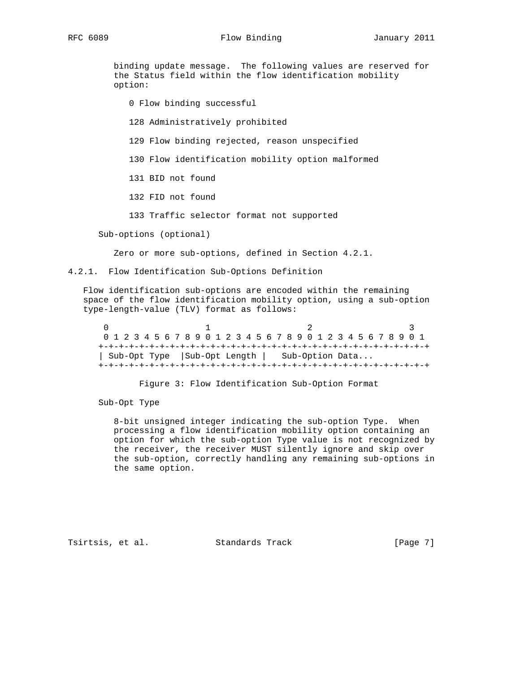RFC 6089 **Flow Binding** January 2011

 binding update message. The following values are reserved for the Status field within the flow identification mobility option:

0 Flow binding successful

128 Administratively prohibited

129 Flow binding rejected, reason unspecified

130 Flow identification mobility option malformed

131 BID not found

132 FID not found

133 Traffic selector format not supported

Sub-options (optional)

Zero or more sub-options, defined in Section 4.2.1.

4.2.1. Flow Identification Sub-Options Definition

 Flow identification sub-options are encoded within the remaining space of the flow identification mobility option, using a sub-option type-length-value (TLV) format as follows:

 $0$  1 2 3 0 1 2 3 4 5 6 7 8 9 0 1 2 3 4 5 6 7 8 9 0 1 2 3 4 5 6 7 8 9 0 1 +-+-+-+-+-+-+-+-+-+-+-+-+-+-+-+-+-+-+-+-+-+-+-+-+-+-+-+-+-+-+-+-+ | Sub-Opt Type |Sub-Opt Length | Sub-Option Data... +-+-+-+-+-+-+-+-+-+-+-+-+-+-+-+-+-+-+-+-+-+-+-+-+-+-+-+-+-+-+-+-+

Figure 3: Flow Identification Sub-Option Format

Sub-Opt Type

 8-bit unsigned integer indicating the sub-option Type. When processing a flow identification mobility option containing an option for which the sub-option Type value is not recognized by the receiver, the receiver MUST silently ignore and skip over the sub-option, correctly handling any remaining sub-options in the same option.

Tsirtsis, et al. Standards Track [Page 7]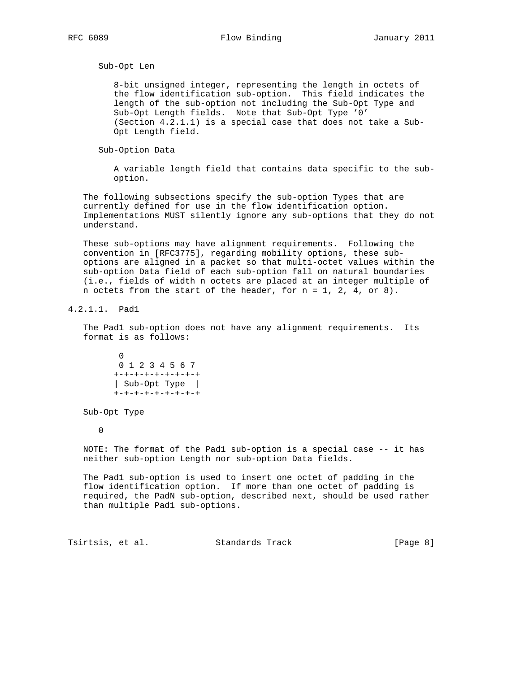Sub-Opt Len

 8-bit unsigned integer, representing the length in octets of the flow identification sub-option. This field indicates the length of the sub-option not including the Sub-Opt Type and Sub-Opt Length fields. Note that Sub-Opt Type '0' (Section 4.2.1.1) is a special case that does not take a Sub- Opt Length field.

Sub-Option Data

 A variable length field that contains data specific to the sub option.

 The following subsections specify the sub-option Types that are currently defined for use in the flow identification option. Implementations MUST silently ignore any sub-options that they do not understand.

 These sub-options may have alignment requirements. Following the convention in [RFC3775], regarding mobility options, these sub options are aligned in a packet so that multi-octet values within the sub-option Data field of each sub-option fall on natural boundaries (i.e., fields of width n octets are placed at an integer multiple of n octets from the start of the header, for n = 1, 2, 4, or 8).

4.2.1.1. Pad1

 The Pad1 sub-option does not have any alignment requirements. Its format is as follows:

 0 0 1 2 3 4 5 6 7 +-+-+-+-+-+-+-+-+ | Sub-Opt Type | +-+-+-+-+-+-+-+-+

Sub-Opt Type

0

 NOTE: The format of the Pad1 sub-option is a special case -- it has neither sub-option Length nor sub-option Data fields.

 The Pad1 sub-option is used to insert one octet of padding in the flow identification option. If more than one octet of padding is required, the PadN sub-option, described next, should be used rather than multiple Pad1 sub-options.

Tsirtsis, et al. Standards Track [Page 8]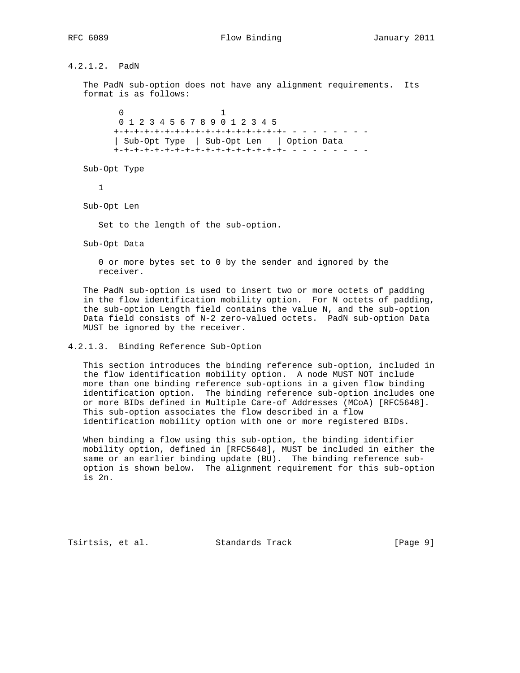4.2.1.2. PadN The PadN sub-option does not have any alignment requirements. Its format is as follows:  $\sim$  0  $\sim$  1 0 1 2 3 4 5 6 7 8 9 0 1 2 3 4 5 +-+-+-+-+-+-+-+-+-+-+-+-+-+-+-+-+- - - - - - - - - | Sub-Opt Type | Sub-Opt Len | Option Data +-+-+-+-+-+-+-+-+-+-+-+-+-+-+-+-+- - - - - - - - - Sub-Opt Type 1 Sub-Opt Len Set to the length of the sub-option. Sub-Opt Data 0 or more bytes set to 0 by the sender and ignored by the receiver. The PadN sub-option is used to insert two or more octets of padding in the flow identification mobility option. For N octets of padding, the sub-option Length field contains the value N, and the sub-option Data field consists of N-2 zero-valued octets. PadN sub-option Data MUST be ignored by the receiver. 4.2.1.3. Binding Reference Sub-Option

 This section introduces the binding reference sub-option, included in the flow identification mobility option. A node MUST NOT include more than one binding reference sub-options in a given flow binding identification option. The binding reference sub-option includes one or more BIDs defined in Multiple Care-of Addresses (MCoA) [RFC5648]. This sub-option associates the flow described in a flow identification mobility option with one or more registered BIDs.

 When binding a flow using this sub-option, the binding identifier mobility option, defined in [RFC5648], MUST be included in either the same or an earlier binding update (BU). The binding reference sub option is shown below. The alignment requirement for this sub-option is 2n.

Tsirtsis, et al. Standards Track [Page 9]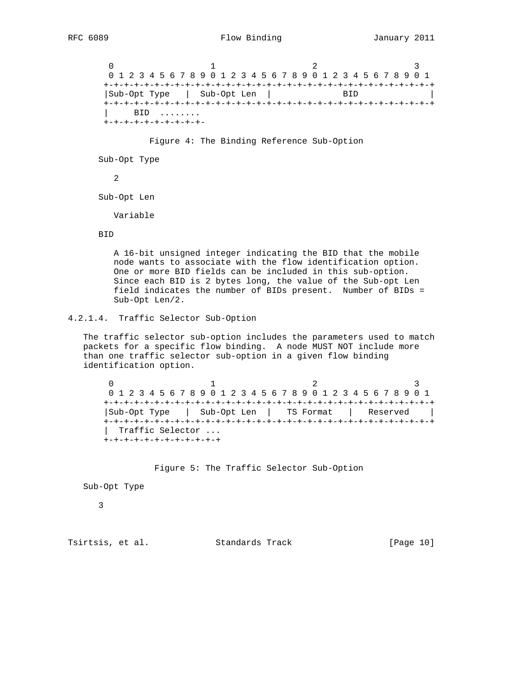$0$  1 2 3 0 1 2 3 4 5 6 7 8 9 0 1 2 3 4 5 6 7 8 9 0 1 2 3 4 5 6 7 8 9 0 1 +-+-+-+-+-+-+-+-+-+-+-+-+-+-+-+-+-+-+-+-+-+-+-+-+-+-+-+-+-+-+-+-+ |Sub-Opt Type | Sub-Opt Len | BID +-+-+-+-+-+-+-+-+-+-+-+-+-+-+-+-+-+-+-+-+-+-+-+-+-+-+-+-+-+-+-+-+ | BID ........ +-+-+-+-+-+-+-+-+-+-

Figure 4: The Binding Reference Sub-Option

Sub-Opt Type

2

Sub-Opt Len

Variable

#### BID

 A 16-bit unsigned integer indicating the BID that the mobile node wants to associate with the flow identification option. One or more BID fields can be included in this sub-option. Since each BID is 2 bytes long, the value of the Sub-opt Len field indicates the number of BIDs present. Number of BIDs = Sub-Opt Len/2.

# 4.2.1.4. Traffic Selector Sub-Option

 The traffic selector sub-option includes the parameters used to match packets for a specific flow binding. A node MUST NOT include more than one traffic selector sub-option in a given flow binding identification option.

 $0$  1 2 3 0 1 2 3 4 5 6 7 8 9 0 1 2 3 4 5 6 7 8 9 0 1 2 3 4 5 6 7 8 9 0 1 +-+-+-+-+-+-+-+-+-+-+-+-+-+-+-+-+-+-+-+-+-+-+-+-+-+-+-+-+-+-+-+-+ |Sub-Opt Type | Sub-Opt Len | TS Format | Reserved | +-+-+-+-+-+-+-+-+-+-+-+-+-+-+-+-+-+-+-+-+-+-+-+-+-+-+-+-+-+-+-+-+ | Traffic Selector ... +-+-+-+-+-+-+-+-+-+-+-+

Figure 5: The Traffic Selector Sub-Option

Sub-Opt Type

3

Tsirtsis, et al. Standards Track [Page 10]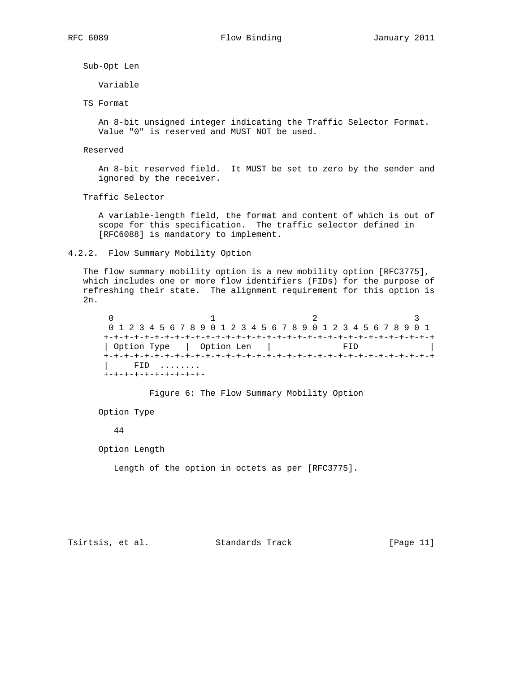Sub-Opt Len

Variable

TS Format

 An 8-bit unsigned integer indicating the Traffic Selector Format. Value "0" is reserved and MUST NOT be used.

## Reserved

 An 8-bit reserved field. It MUST be set to zero by the sender and ignored by the receiver.

Traffic Selector

 A variable-length field, the format and content of which is out of scope for this specification. The traffic selector defined in [RFC6088] is mandatory to implement.

#### 4.2.2. Flow Summary Mobility Option

 The flow summary mobility option is a new mobility option [RFC3775], which includes one or more flow identifiers (FIDs) for the purpose of refreshing their state. The alignment requirement for this option is 2n.

 $0$  1 2 3 0 1 2 3 4 5 6 7 8 9 0 1 2 3 4 5 6 7 8 9 0 1 2 3 4 5 6 7 8 9 0 1 +-+-+-+-+-+-+-+-+-+-+-+-+-+-+-+-+-+-+-+-+-+-+-+-+-+-+-+-+-+-+-+-+ | Option Type | Option Len | FID +-+-+-+-+-+-+-+-+-+-+-+-+-+-+-+-+-+-+-+-+-+-+-+-+-+-+-+-+-+-+-+-+ | FID ........ +-+-+-+-+-+-+-+-+-+-

Figure 6: The Flow Summary Mobility Option

Option Type

44

Option Length

Length of the option in octets as per [RFC3775].

Tsirtsis, et al. Standards Track [Page 11]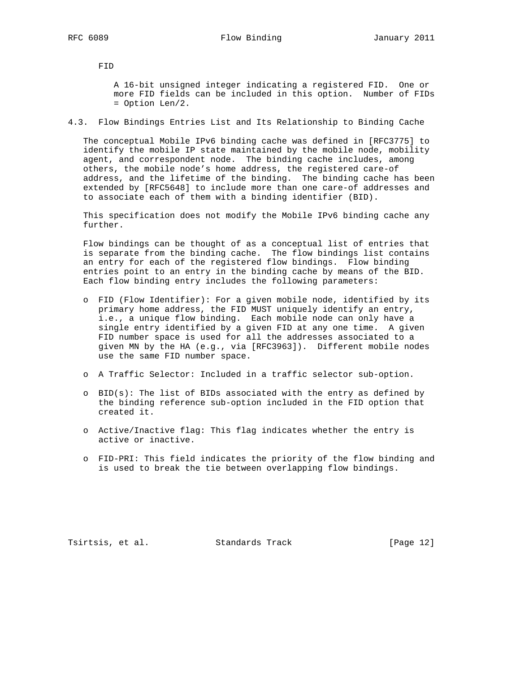FID

 A 16-bit unsigned integer indicating a registered FID. One or more FID fields can be included in this option. Number of FIDs = Option Len/2.

### 4.3. Flow Bindings Entries List and Its Relationship to Binding Cache

 The conceptual Mobile IPv6 binding cache was defined in [RFC3775] to identify the mobile IP state maintained by the mobile node, mobility agent, and correspondent node. The binding cache includes, among others, the mobile node's home address, the registered care-of address, and the lifetime of the binding. The binding cache has been extended by [RFC5648] to include more than one care-of addresses and to associate each of them with a binding identifier (BID).

 This specification does not modify the Mobile IPv6 binding cache any further.

 Flow bindings can be thought of as a conceptual list of entries that is separate from the binding cache. The flow bindings list contains an entry for each of the registered flow bindings. Flow binding entries point to an entry in the binding cache by means of the BID. Each flow binding entry includes the following parameters:

- o FID (Flow Identifier): For a given mobile node, identified by its primary home address, the FID MUST uniquely identify an entry, i.e., a unique flow binding. Each mobile node can only have a single entry identified by a given FID at any one time. A given FID number space is used for all the addresses associated to a given MN by the HA (e.g., via [RFC3963]). Different mobile nodes use the same FID number space.
- o A Traffic Selector: Included in a traffic selector sub-option.
- o BID(s): The list of BIDs associated with the entry as defined by the binding reference sub-option included in the FID option that created it.
- o Active/Inactive flag: This flag indicates whether the entry is active or inactive.
- o FID-PRI: This field indicates the priority of the flow binding and is used to break the tie between overlapping flow bindings.

Tsirtsis, et al. Standards Track [Page 12]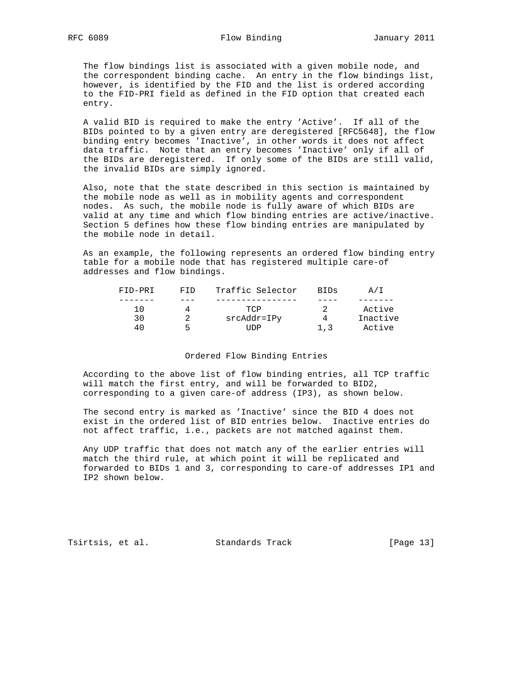The flow bindings list is associated with a given mobile node, and the correspondent binding cache. An entry in the flow bindings list, however, is identified by the FID and the list is ordered according to the FID-PRI field as defined in the FID option that created each entry.

 A valid BID is required to make the entry 'Active'. If all of the BIDs pointed to by a given entry are deregistered [RFC5648], the flow binding entry becomes 'Inactive', in other words it does not affect data traffic. Note that an entry becomes 'Inactive' only if all of the BIDs are deregistered. If only some of the BIDs are still valid, the invalid BIDs are simply ignored.

 Also, note that the state described in this section is maintained by the mobile node as well as in mobility agents and correspondent nodes. As such, the mobile node is fully aware of which BIDs are valid at any time and which flow binding entries are active/inactive. Section 5 defines how these flow binding entries are manipulated by the mobile node in detail.

 As an example, the following represents an ordered flow binding entry table for a mobile node that has registered multiple care-of addresses and flow bindings.

| FID-PRI | FTD | Traffic Selector | BIDs | A/I      |
|---------|-----|------------------|------|----------|
|         |     |                  |      |          |
| 10      |     | TCP              |      | Active   |
|         |     | srcAddr=IPy      |      | Inactive |
|         | ՟   | 'IDP             | 1.3  | Active   |

#### Ordered Flow Binding Entries

 According to the above list of flow binding entries, all TCP traffic will match the first entry, and will be forwarded to BID2, corresponding to a given care-of address (IP3), as shown below.

 The second entry is marked as 'Inactive' since the BID 4 does not exist in the ordered list of BID entries below. Inactive entries do not affect traffic, i.e., packets are not matched against them.

 Any UDP traffic that does not match any of the earlier entries will match the third rule, at which point it will be replicated and forwarded to BIDs 1 and 3, corresponding to care-of addresses IP1 and IP2 shown below.

Tsirtsis, et al. Standards Track [Page 13]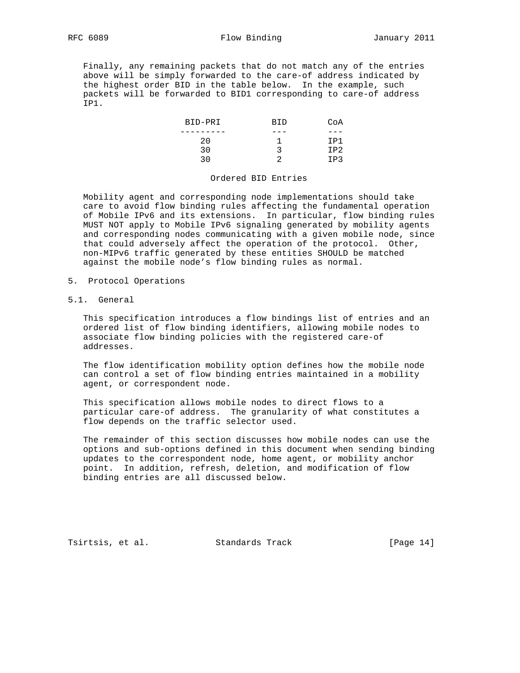Finally, any remaining packets that do not match any of the entries above will be simply forwarded to the care-of address indicated by the highest order BID in the table below. In the example, such packets will be forwarded to BID1 corresponding to care-of address IP1.

| BID-PRI | BID    | CoA             |
|---------|--------|-----------------|
|         | ---    | ---             |
| 20      |        | T D´            |
| っぃ      |        | IP <sub>2</sub> |
| 2 N     | $\sim$ | רם T            |

### Ordered BID Entries

 Mobility agent and corresponding node implementations should take care to avoid flow binding rules affecting the fundamental operation of Mobile IPv6 and its extensions. In particular, flow binding rules MUST NOT apply to Mobile IPv6 signaling generated by mobility agents and corresponding nodes communicating with a given mobile node, since that could adversely affect the operation of the protocol. Other, non-MIPv6 traffic generated by these entities SHOULD be matched against the mobile node's flow binding rules as normal.

- 5. Protocol Operations
- 5.1. General

 This specification introduces a flow bindings list of entries and an ordered list of flow binding identifiers, allowing mobile nodes to associate flow binding policies with the registered care-of addresses.

 The flow identification mobility option defines how the mobile node can control a set of flow binding entries maintained in a mobility agent, or correspondent node.

 This specification allows mobile nodes to direct flows to a particular care-of address. The granularity of what constitutes a flow depends on the traffic selector used.

 The remainder of this section discusses how mobile nodes can use the options and sub-options defined in this document when sending binding updates to the correspondent node, home agent, or mobility anchor point. In addition, refresh, deletion, and modification of flow binding entries are all discussed below.

Tsirtsis, et al. Standards Track [Page 14]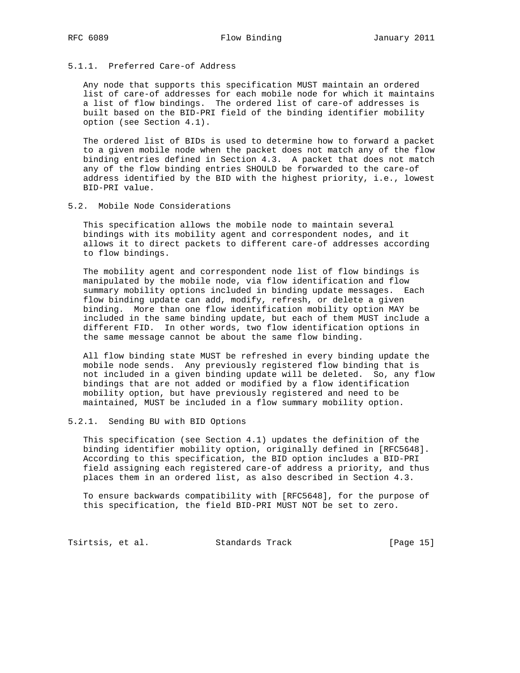## 5.1.1. Preferred Care-of Address

 Any node that supports this specification MUST maintain an ordered list of care-of addresses for each mobile node for which it maintains a list of flow bindings. The ordered list of care-of addresses is built based on the BID-PRI field of the binding identifier mobility option (see Section 4.1).

 The ordered list of BIDs is used to determine how to forward a packet to a given mobile node when the packet does not match any of the flow binding entries defined in Section 4.3. A packet that does not match any of the flow binding entries SHOULD be forwarded to the care-of address identified by the BID with the highest priority, i.e., lowest BID-PRI value.

5.2. Mobile Node Considerations

 This specification allows the mobile node to maintain several bindings with its mobility agent and correspondent nodes, and it allows it to direct packets to different care-of addresses according to flow bindings.

 The mobility agent and correspondent node list of flow bindings is manipulated by the mobile node, via flow identification and flow summary mobility options included in binding update messages. Each flow binding update can add, modify, refresh, or delete a given binding. More than one flow identification mobility option MAY be included in the same binding update, but each of them MUST include a different FID. In other words, two flow identification options in the same message cannot be about the same flow binding.

 All flow binding state MUST be refreshed in every binding update the mobile node sends. Any previously registered flow binding that is not included in a given binding update will be deleted. So, any flow bindings that are not added or modified by a flow identification mobility option, but have previously registered and need to be maintained, MUST be included in a flow summary mobility option.

#### 5.2.1. Sending BU with BID Options

 This specification (see Section 4.1) updates the definition of the binding identifier mobility option, originally defined in [RFC5648]. According to this specification, the BID option includes a BID-PRI field assigning each registered care-of address a priority, and thus places them in an ordered list, as also described in Section 4.3.

 To ensure backwards compatibility with [RFC5648], for the purpose of this specification, the field BID-PRI MUST NOT be set to zero.

Tsirtsis, et al. Standards Track [Page 15]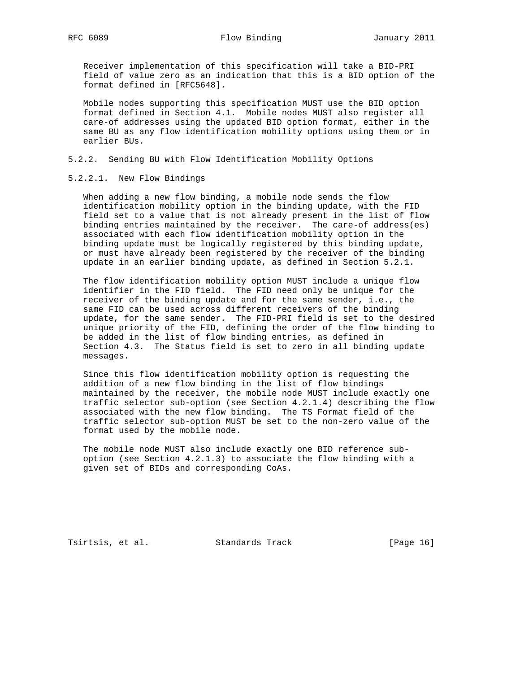Receiver implementation of this specification will take a BID-PRI field of value zero as an indication that this is a BID option of the format defined in [RFC5648].

 Mobile nodes supporting this specification MUST use the BID option format defined in Section 4.1. Mobile nodes MUST also register all care-of addresses using the updated BID option format, either in the same BU as any flow identification mobility options using them or in earlier BUs.

- 5.2.2. Sending BU with Flow Identification Mobility Options
- 5.2.2.1. New Flow Bindings

 When adding a new flow binding, a mobile node sends the flow identification mobility option in the binding update, with the FID field set to a value that is not already present in the list of flow binding entries maintained by the receiver. The care-of address(es) associated with each flow identification mobility option in the binding update must be logically registered by this binding update, or must have already been registered by the receiver of the binding update in an earlier binding update, as defined in Section 5.2.1.

 The flow identification mobility option MUST include a unique flow identifier in the FID field. The FID need only be unique for the receiver of the binding update and for the same sender, i.e., the same FID can be used across different receivers of the binding update, for the same sender. The FID-PRI field is set to the desired unique priority of the FID, defining the order of the flow binding to be added in the list of flow binding entries, as defined in Section 4.3. The Status field is set to zero in all binding update messages.

 Since this flow identification mobility option is requesting the addition of a new flow binding in the list of flow bindings maintained by the receiver, the mobile node MUST include exactly one traffic selector sub-option (see Section 4.2.1.4) describing the flow associated with the new flow binding. The TS Format field of the traffic selector sub-option MUST be set to the non-zero value of the format used by the mobile node.

 The mobile node MUST also include exactly one BID reference sub option (see Section 4.2.1.3) to associate the flow binding with a given set of BIDs and corresponding CoAs.

Tsirtsis, et al. Standards Track [Page 16]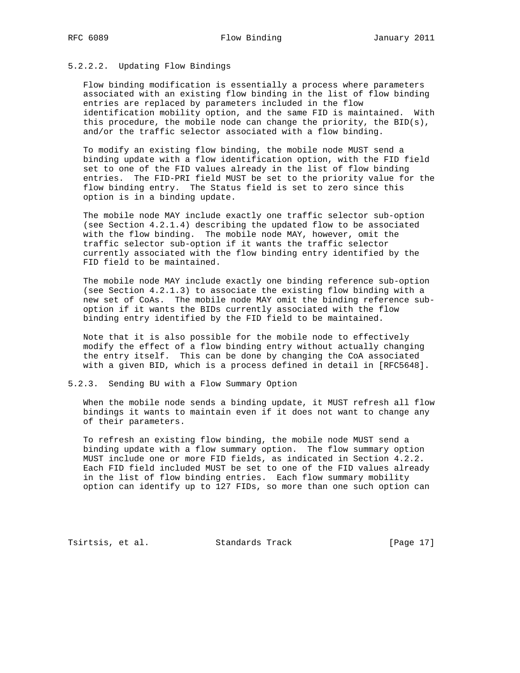# 5.2.2.2. Updating Flow Bindings

 Flow binding modification is essentially a process where parameters associated with an existing flow binding in the list of flow binding entries are replaced by parameters included in the flow identification mobility option, and the same FID is maintained. With this procedure, the mobile node can change the priority, the BID(s), and/or the traffic selector associated with a flow binding.

 To modify an existing flow binding, the mobile node MUST send a binding update with a flow identification option, with the FID field set to one of the FID values already in the list of flow binding entries. The FID-PRI field MUST be set to the priority value for the flow binding entry. The Status field is set to zero since this option is in a binding update.

 The mobile node MAY include exactly one traffic selector sub-option (see Section 4.2.1.4) describing the updated flow to be associated with the flow binding. The mobile node MAY, however, omit the traffic selector sub-option if it wants the traffic selector currently associated with the flow binding entry identified by the FID field to be maintained.

 The mobile node MAY include exactly one binding reference sub-option (see Section 4.2.1.3) to associate the existing flow binding with a new set of CoAs. The mobile node MAY omit the binding reference sub option if it wants the BIDs currently associated with the flow binding entry identified by the FID field to be maintained.

 Note that it is also possible for the mobile node to effectively modify the effect of a flow binding entry without actually changing the entry itself. This can be done by changing the CoA associated with a given BID, which is a process defined in detail in [RFC5648].

5.2.3. Sending BU with a Flow Summary Option

 When the mobile node sends a binding update, it MUST refresh all flow bindings it wants to maintain even if it does not want to change any of their parameters.

 To refresh an existing flow binding, the mobile node MUST send a binding update with a flow summary option. The flow summary option MUST include one or more FID fields, as indicated in Section 4.2.2. Each FID field included MUST be set to one of the FID values already in the list of flow binding entries. Each flow summary mobility option can identify up to 127 FIDs, so more than one such option can

Tsirtsis, et al. Standards Track [Page 17]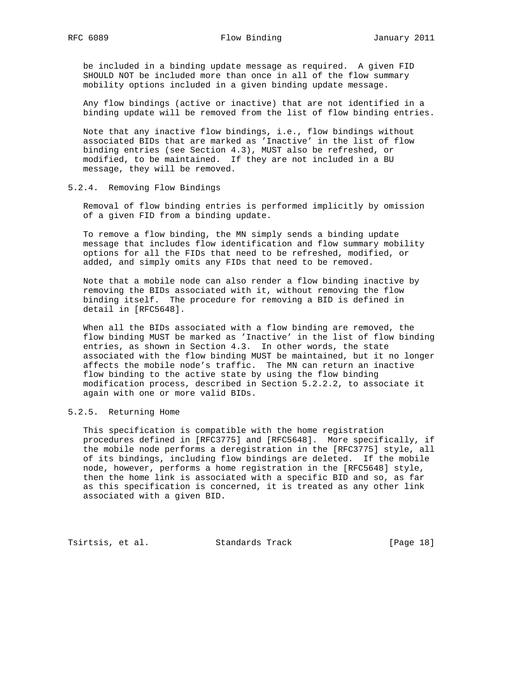be included in a binding update message as required. A given FID SHOULD NOT be included more than once in all of the flow summary mobility options included in a given binding update message.

 Any flow bindings (active or inactive) that are not identified in a binding update will be removed from the list of flow binding entries.

 Note that any inactive flow bindings, i.e., flow bindings without associated BIDs that are marked as 'Inactive' in the list of flow binding entries (see Section 4.3), MUST also be refreshed, or modified, to be maintained. If they are not included in a BU message, they will be removed.

5.2.4. Removing Flow Bindings

 Removal of flow binding entries is performed implicitly by omission of a given FID from a binding update.

 To remove a flow binding, the MN simply sends a binding update message that includes flow identification and flow summary mobility options for all the FIDs that need to be refreshed, modified, or added, and simply omits any FIDs that need to be removed.

 Note that a mobile node can also render a flow binding inactive by removing the BIDs associated with it, without removing the flow binding itself. The procedure for removing a BID is defined in detail in [RFC5648].

 When all the BIDs associated with a flow binding are removed, the flow binding MUST be marked as 'Inactive' in the list of flow binding entries, as shown in Section 4.3. In other words, the state associated with the flow binding MUST be maintained, but it no longer affects the mobile node's traffic. The MN can return an inactive flow binding to the active state by using the flow binding modification process, described in Section 5.2.2.2, to associate it again with one or more valid BIDs.

#### 5.2.5. Returning Home

 This specification is compatible with the home registration procedures defined in [RFC3775] and [RFC5648]. More specifically, if the mobile node performs a deregistration in the [RFC3775] style, all of its bindings, including flow bindings are deleted. If the mobile node, however, performs a home registration in the [RFC5648] style, then the home link is associated with a specific BID and so, as far as this specification is concerned, it is treated as any other link associated with a given BID.

Tsirtsis, et al. Standards Track [Page 18]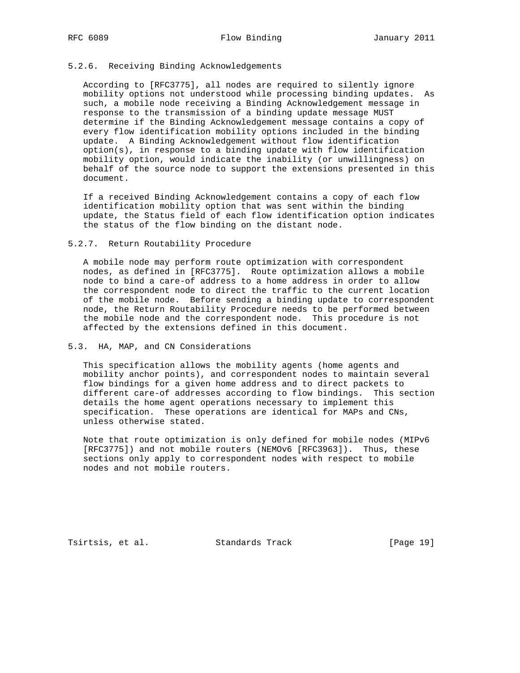## 5.2.6. Receiving Binding Acknowledgements

 According to [RFC3775], all nodes are required to silently ignore mobility options not understood while processing binding updates. As such, a mobile node receiving a Binding Acknowledgement message in response to the transmission of a binding update message MUST determine if the Binding Acknowledgement message contains a copy of every flow identification mobility options included in the binding update. A Binding Acknowledgement without flow identification option(s), in response to a binding update with flow identification mobility option, would indicate the inability (or unwillingness) on behalf of the source node to support the extensions presented in this document.

 If a received Binding Acknowledgement contains a copy of each flow identification mobility option that was sent within the binding update, the Status field of each flow identification option indicates the status of the flow binding on the distant node.

5.2.7. Return Routability Procedure

 A mobile node may perform route optimization with correspondent nodes, as defined in [RFC3775]. Route optimization allows a mobile node to bind a care-of address to a home address in order to allow the correspondent node to direct the traffic to the current location of the mobile node. Before sending a binding update to correspondent node, the Return Routability Procedure needs to be performed between the mobile node and the correspondent node. This procedure is not affected by the extensions defined in this document.

## 5.3. HA, MAP, and CN Considerations

 This specification allows the mobility agents (home agents and mobility anchor points), and correspondent nodes to maintain several flow bindings for a given home address and to direct packets to different care-of addresses according to flow bindings. This section details the home agent operations necessary to implement this specification. These operations are identical for MAPs and CNs, unless otherwise stated.

 Note that route optimization is only defined for mobile nodes (MIPv6 [RFC3775]) and not mobile routers (NEMOv6 [RFC3963]). Thus, these sections only apply to correspondent nodes with respect to mobile nodes and not mobile routers.

Tsirtsis, et al. Standards Track [Page 19]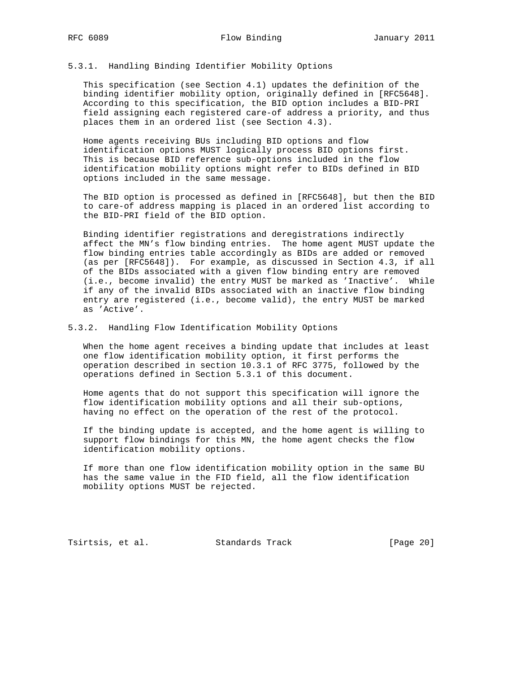# 5.3.1. Handling Binding Identifier Mobility Options

 This specification (see Section 4.1) updates the definition of the binding identifier mobility option, originally defined in [RFC5648]. According to this specification, the BID option includes a BID-PRI field assigning each registered care-of address a priority, and thus places them in an ordered list (see Section 4.3).

 Home agents receiving BUs including BID options and flow identification options MUST logically process BID options first. This is because BID reference sub-options included in the flow identification mobility options might refer to BIDs defined in BID options included in the same message.

 The BID option is processed as defined in [RFC5648], but then the BID to care-of address mapping is placed in an ordered list according to the BID-PRI field of the BID option.

 Binding identifier registrations and deregistrations indirectly affect the MN's flow binding entries. The home agent MUST update the flow binding entries table accordingly as BIDs are added or removed (as per [RFC5648]). For example, as discussed in Section 4.3, if all of the BIDs associated with a given flow binding entry are removed (i.e., become invalid) the entry MUST be marked as 'Inactive'. While if any of the invalid BIDs associated with an inactive flow binding entry are registered (i.e., become valid), the entry MUST be marked as 'Active'.

#### 5.3.2. Handling Flow Identification Mobility Options

 When the home agent receives a binding update that includes at least one flow identification mobility option, it first performs the operation described in section 10.3.1 of RFC 3775, followed by the operations defined in Section 5.3.1 of this document.

 Home agents that do not support this specification will ignore the flow identification mobility options and all their sub-options, having no effect on the operation of the rest of the protocol.

 If the binding update is accepted, and the home agent is willing to support flow bindings for this MN, the home agent checks the flow identification mobility options.

 If more than one flow identification mobility option in the same BU has the same value in the FID field, all the flow identification mobility options MUST be rejected.

Tsirtsis, et al. Standards Track [Page 20]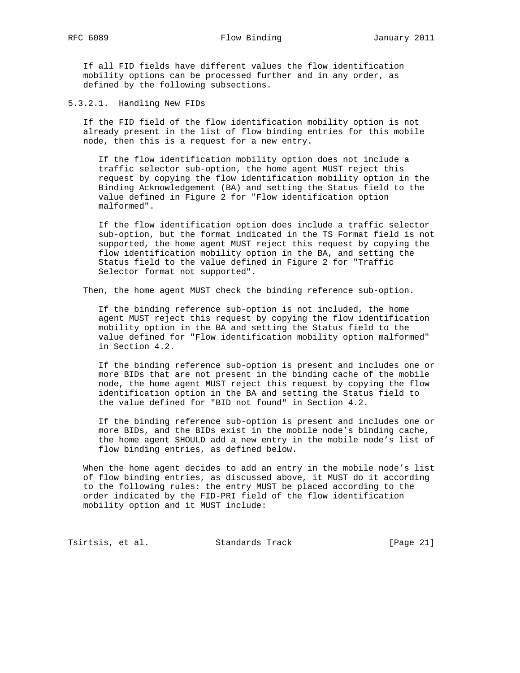If all FID fields have different values the flow identification mobility options can be processed further and in any order, as defined by the following subsections.

5.3.2.1. Handling New FIDs

 If the FID field of the flow identification mobility option is not already present in the list of flow binding entries for this mobile node, then this is a request for a new entry.

 If the flow identification mobility option does not include a traffic selector sub-option, the home agent MUST reject this request by copying the flow identification mobility option in the Binding Acknowledgement (BA) and setting the Status field to the value defined in Figure 2 for "Flow identification option malformed".

 If the flow identification option does include a traffic selector sub-option, but the format indicated in the TS Format field is not supported, the home agent MUST reject this request by copying the flow identification mobility option in the BA, and setting the Status field to the value defined in Figure 2 for "Traffic Selector format not supported".

Then, the home agent MUST check the binding reference sub-option.

 If the binding reference sub-option is not included, the home agent MUST reject this request by copying the flow identification mobility option in the BA and setting the Status field to the value defined for "Flow identification mobility option malformed" in Section 4.2.

 If the binding reference sub-option is present and includes one or more BIDs that are not present in the binding cache of the mobile node, the home agent MUST reject this request by copying the flow identification option in the BA and setting the Status field to the value defined for "BID not found" in Section 4.2.

 If the binding reference sub-option is present and includes one or more BIDs, and the BIDs exist in the mobile node's binding cache, the home agent SHOULD add a new entry in the mobile node's list of flow binding entries, as defined below.

 When the home agent decides to add an entry in the mobile node's list of flow binding entries, as discussed above, it MUST do it according to the following rules: the entry MUST be placed according to the order indicated by the FID-PRI field of the flow identification mobility option and it MUST include:

Tsirtsis, et al. Standards Track [Page 21]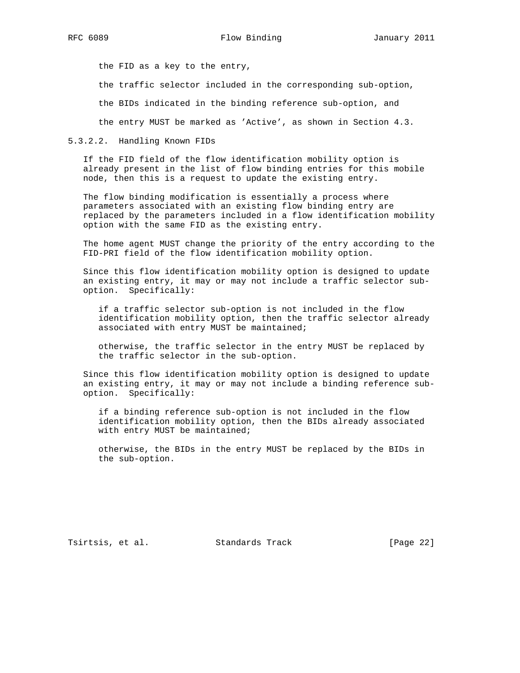the FID as a key to the entry,

the traffic selector included in the corresponding sub-option,

the BIDs indicated in the binding reference sub-option, and

the entry MUST be marked as 'Active', as shown in Section 4.3.

#### 5.3.2.2. Handling Known FIDs

 If the FID field of the flow identification mobility option is already present in the list of flow binding entries for this mobile node, then this is a request to update the existing entry.

 The flow binding modification is essentially a process where parameters associated with an existing flow binding entry are replaced by the parameters included in a flow identification mobility option with the same FID as the existing entry.

 The home agent MUST change the priority of the entry according to the FID-PRI field of the flow identification mobility option.

 Since this flow identification mobility option is designed to update an existing entry, it may or may not include a traffic selector sub option. Specifically:

 if a traffic selector sub-option is not included in the flow identification mobility option, then the traffic selector already associated with entry MUST be maintained;

 otherwise, the traffic selector in the entry MUST be replaced by the traffic selector in the sub-option.

 Since this flow identification mobility option is designed to update an existing entry, it may or may not include a binding reference sub option. Specifically:

 if a binding reference sub-option is not included in the flow identification mobility option, then the BIDs already associated with entry MUST be maintained;

 otherwise, the BIDs in the entry MUST be replaced by the BIDs in the sub-option.

Tsirtsis, et al. Standards Track [Page 22]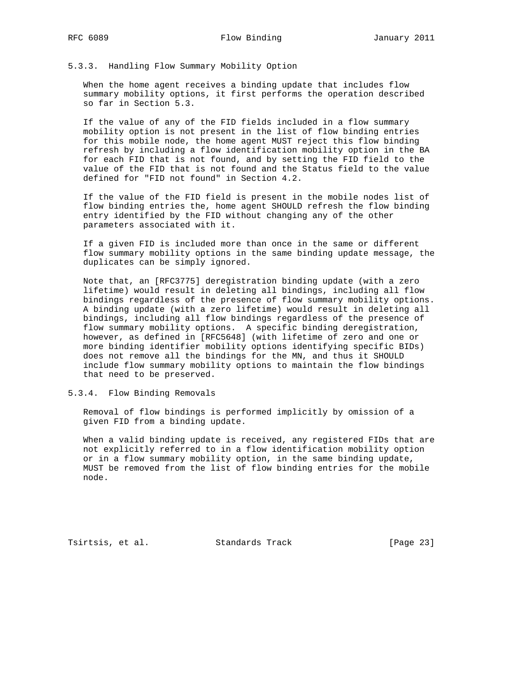## 5.3.3. Handling Flow Summary Mobility Option

 When the home agent receives a binding update that includes flow summary mobility options, it first performs the operation described so far in Section 5.3.

 If the value of any of the FID fields included in a flow summary mobility option is not present in the list of flow binding entries for this mobile node, the home agent MUST reject this flow binding refresh by including a flow identification mobility option in the BA for each FID that is not found, and by setting the FID field to the value of the FID that is not found and the Status field to the value defined for "FID not found" in Section 4.2.

 If the value of the FID field is present in the mobile nodes list of flow binding entries the, home agent SHOULD refresh the flow binding entry identified by the FID without changing any of the other parameters associated with it.

 If a given FID is included more than once in the same or different flow summary mobility options in the same binding update message, the duplicates can be simply ignored.

 Note that, an [RFC3775] deregistration binding update (with a zero lifetime) would result in deleting all bindings, including all flow bindings regardless of the presence of flow summary mobility options. A binding update (with a zero lifetime) would result in deleting all bindings, including all flow bindings regardless of the presence of flow summary mobility options. A specific binding deregistration, however, as defined in [RFC5648] (with lifetime of zero and one or more binding identifier mobility options identifying specific BIDs) does not remove all the bindings for the MN, and thus it SHOULD include flow summary mobility options to maintain the flow bindings that need to be preserved.

5.3.4. Flow Binding Removals

 Removal of flow bindings is performed implicitly by omission of a given FID from a binding update.

 When a valid binding update is received, any registered FIDs that are not explicitly referred to in a flow identification mobility option or in a flow summary mobility option, in the same binding update, MUST be removed from the list of flow binding entries for the mobile node.

Tsirtsis, et al. Standards Track [Page 23]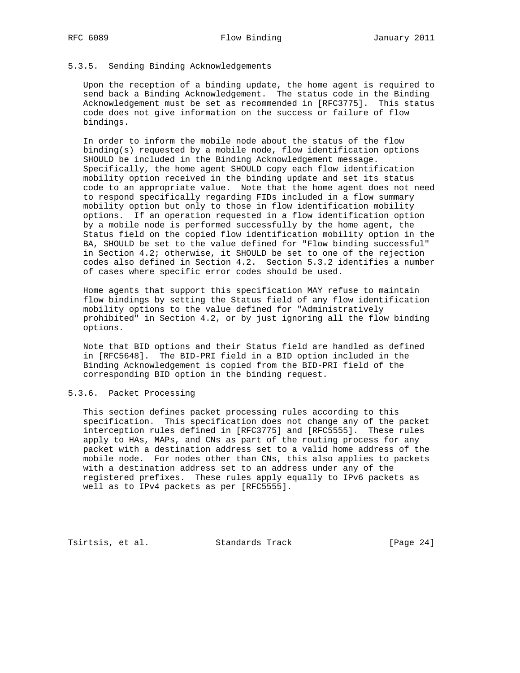# 5.3.5. Sending Binding Acknowledgements

 Upon the reception of a binding update, the home agent is required to send back a Binding Acknowledgement. The status code in the Binding Acknowledgement must be set as recommended in [RFC3775]. This status code does not give information on the success or failure of flow bindings.

 In order to inform the mobile node about the status of the flow binding(s) requested by a mobile node, flow identification options SHOULD be included in the Binding Acknowledgement message. Specifically, the home agent SHOULD copy each flow identification mobility option received in the binding update and set its status code to an appropriate value. Note that the home agent does not need to respond specifically regarding FIDs included in a flow summary mobility option but only to those in flow identification mobility options. If an operation requested in a flow identification option by a mobile node is performed successfully by the home agent, the Status field on the copied flow identification mobility option in the BA, SHOULD be set to the value defined for "Flow binding successful" in Section 4.2; otherwise, it SHOULD be set to one of the rejection codes also defined in Section 4.2. Section 5.3.2 identifies a number of cases where specific error codes should be used.

 Home agents that support this specification MAY refuse to maintain flow bindings by setting the Status field of any flow identification mobility options to the value defined for "Administratively prohibited" in Section 4.2, or by just ignoring all the flow binding options.

 Note that BID options and their Status field are handled as defined in [RFC5648]. The BID-PRI field in a BID option included in the Binding Acknowledgement is copied from the BID-PRI field of the corresponding BID option in the binding request.

## 5.3.6. Packet Processing

 This section defines packet processing rules according to this specification. This specification does not change any of the packet interception rules defined in [RFC3775] and [RFC5555]. These rules apply to HAs, MAPs, and CNs as part of the routing process for any packet with a destination address set to a valid home address of the mobile node. For nodes other than CNs, this also applies to packets with a destination address set to an address under any of the registered prefixes. These rules apply equally to IPv6 packets as well as to IPv4 packets as per [RFC5555].

Tsirtsis, et al. Standards Track [Page 24]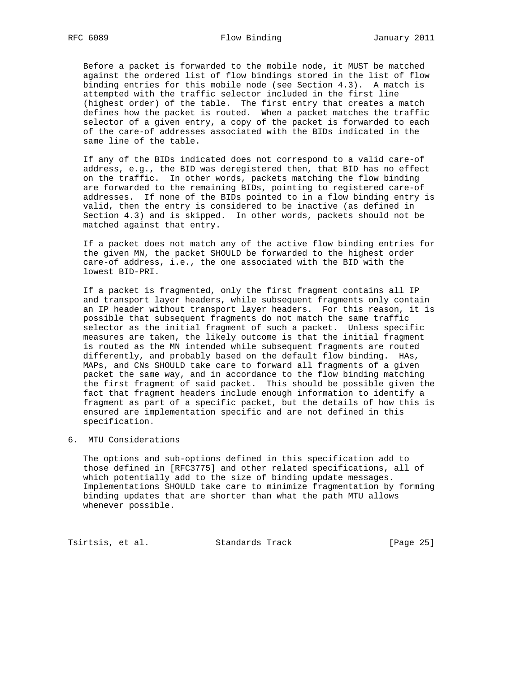Before a packet is forwarded to the mobile node, it MUST be matched against the ordered list of flow bindings stored in the list of flow binding entries for this mobile node (see Section 4.3). A match is attempted with the traffic selector included in the first line (highest order) of the table. The first entry that creates a match defines how the packet is routed. When a packet matches the traffic selector of a given entry, a copy of the packet is forwarded to each of the care-of addresses associated with the BIDs indicated in the same line of the table.

 If any of the BIDs indicated does not correspond to a valid care-of address, e.g., the BID was deregistered then, that BID has no effect on the traffic. In other words, packets matching the flow binding are forwarded to the remaining BIDs, pointing to registered care-of addresses. If none of the BIDs pointed to in a flow binding entry is valid, then the entry is considered to be inactive (as defined in Section 4.3) and is skipped. In other words, packets should not be matched against that entry.

 If a packet does not match any of the active flow binding entries for the given MN, the packet SHOULD be forwarded to the highest order care-of address, i.e., the one associated with the BID with the lowest BID-PRI.

 If a packet is fragmented, only the first fragment contains all IP and transport layer headers, while subsequent fragments only contain an IP header without transport layer headers. For this reason, it is possible that subsequent fragments do not match the same traffic selector as the initial fragment of such a packet. Unless specific measures are taken, the likely outcome is that the initial fragment is routed as the MN intended while subsequent fragments are routed differently, and probably based on the default flow binding. HAs, MAPs, and CNs SHOULD take care to forward all fragments of a given packet the same way, and in accordance to the flow binding matching the first fragment of said packet. This should be possible given the fact that fragment headers include enough information to identify a fragment as part of a specific packet, but the details of how this is ensured are implementation specific and are not defined in this specification.

6. MTU Considerations

 The options and sub-options defined in this specification add to those defined in [RFC3775] and other related specifications, all of which potentially add to the size of binding update messages. Implementations SHOULD take care to minimize fragmentation by forming binding updates that are shorter than what the path MTU allows whenever possible.

Tsirtsis, et al. Standards Track [Page 25]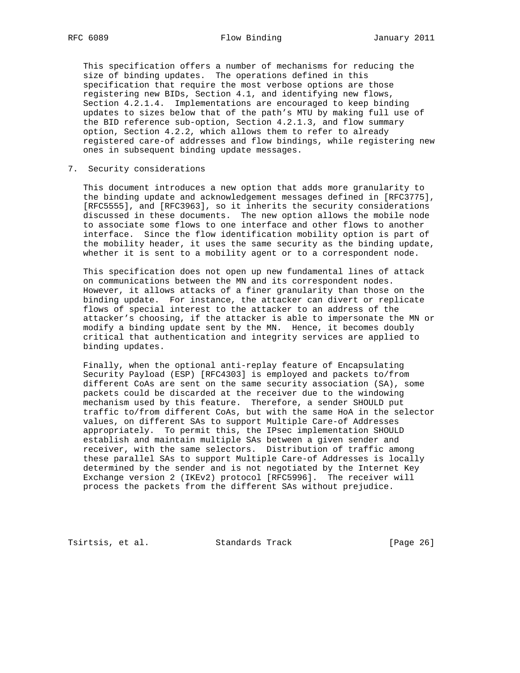This specification offers a number of mechanisms for reducing the size of binding updates. The operations defined in this specification that require the most verbose options are those registering new BIDs, Section 4.1, and identifying new flows, Section 4.2.1.4. Implementations are encouraged to keep binding updates to sizes below that of the path's MTU by making full use of the BID reference sub-option, Section 4.2.1.3, and flow summary option, Section 4.2.2, which allows them to refer to already registered care-of addresses and flow bindings, while registering new ones in subsequent binding update messages.

## 7. Security considerations

 This document introduces a new option that adds more granularity to the binding update and acknowledgement messages defined in [RFC3775], [RFC5555], and [RFC3963], so it inherits the security considerations discussed in these documents. The new option allows the mobile node to associate some flows to one interface and other flows to another interface. Since the flow identification mobility option is part of the mobility header, it uses the same security as the binding update, whether it is sent to a mobility agent or to a correspondent node.

 This specification does not open up new fundamental lines of attack on communications between the MN and its correspondent nodes. However, it allows attacks of a finer granularity than those on the binding update. For instance, the attacker can divert or replicate flows of special interest to the attacker to an address of the attacker's choosing, if the attacker is able to impersonate the MN or modify a binding update sent by the MN. Hence, it becomes doubly critical that authentication and integrity services are applied to binding updates.

 Finally, when the optional anti-replay feature of Encapsulating Security Payload (ESP) [RFC4303] is employed and packets to/from different CoAs are sent on the same security association (SA), some packets could be discarded at the receiver due to the windowing mechanism used by this feature. Therefore, a sender SHOULD put traffic to/from different CoAs, but with the same HoA in the selector values, on different SAs to support Multiple Care-of Addresses appropriately. To permit this, the IPsec implementation SHOULD establish and maintain multiple SAs between a given sender and receiver, with the same selectors. Distribution of traffic among these parallel SAs to support Multiple Care-of Addresses is locally determined by the sender and is not negotiated by the Internet Key Exchange version 2 (IKEv2) protocol [RFC5996]. The receiver will process the packets from the different SAs without prejudice.

Tsirtsis, et al. Standards Track [Page 26]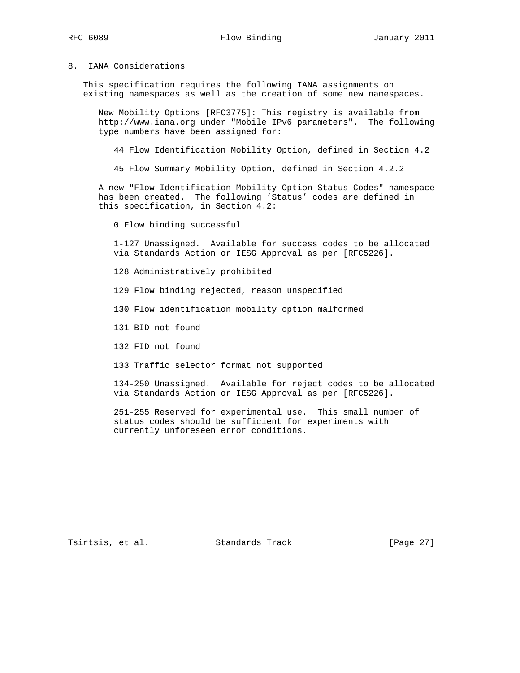## 8. IANA Considerations

 This specification requires the following IANA assignments on existing namespaces as well as the creation of some new namespaces.

 New Mobility Options [RFC3775]: This registry is available from http://www.iana.org under "Mobile IPv6 parameters". The following type numbers have been assigned for:

44 Flow Identification Mobility Option, defined in Section 4.2

45 Flow Summary Mobility Option, defined in Section 4.2.2

 A new "Flow Identification Mobility Option Status Codes" namespace has been created. The following 'Status' codes are defined in this specification, in Section 4.2:

0 Flow binding successful

 1-127 Unassigned. Available for success codes to be allocated via Standards Action or IESG Approval as per [RFC5226].

128 Administratively prohibited

129 Flow binding rejected, reason unspecified

130 Flow identification mobility option malformed

131 BID not found

132 FID not found

133 Traffic selector format not supported

 134-250 Unassigned. Available for reject codes to be allocated via Standards Action or IESG Approval as per [RFC5226].

 251-255 Reserved for experimental use. This small number of status codes should be sufficient for experiments with currently unforeseen error conditions.

Tsirtsis, et al. Standards Track [Page 27]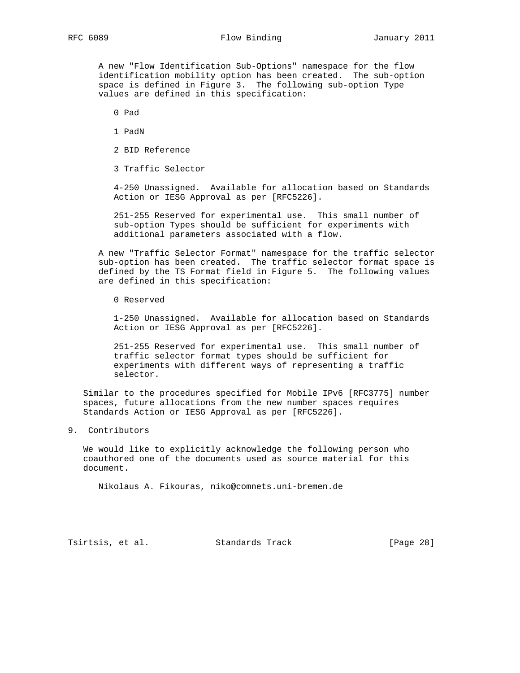# RFC 6089 **Flow Binding** January 2011

 A new "Flow Identification Sub-Options" namespace for the flow identification mobility option has been created. The sub-option space is defined in Figure 3. The following sub-option Type values are defined in this specification:

- 0 Pad
- 1 PadN
- 2 BID Reference
- 3 Traffic Selector

 4-250 Unassigned. Available for allocation based on Standards Action or IESG Approval as per [RFC5226].

 251-255 Reserved for experimental use. This small number of sub-option Types should be sufficient for experiments with additional parameters associated with a flow.

 A new "Traffic Selector Format" namespace for the traffic selector sub-option has been created. The traffic selector format space is defined by the TS Format field in Figure 5. The following values are defined in this specification:

0 Reserved

 1-250 Unassigned. Available for allocation based on Standards Action or IESG Approval as per [RFC5226].

 251-255 Reserved for experimental use. This small number of traffic selector format types should be sufficient for experiments with different ways of representing a traffic selector.

 Similar to the procedures specified for Mobile IPv6 [RFC3775] number spaces, future allocations from the new number spaces requires Standards Action or IESG Approval as per [RFC5226].

9. Contributors

 We would like to explicitly acknowledge the following person who coauthored one of the documents used as source material for this document.

Nikolaus A. Fikouras, niko@comnets.uni-bremen.de

Tsirtsis, et al. Standards Track [Page 28]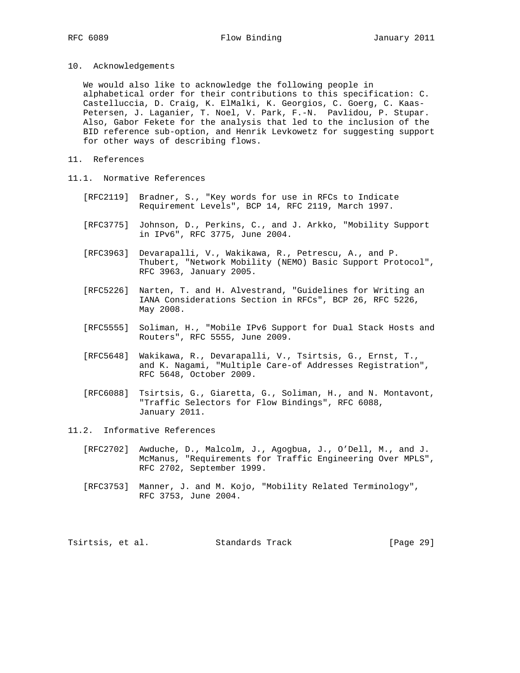10. Acknowledgements

 We would also like to acknowledge the following people in alphabetical order for their contributions to this specification: C. Castelluccia, D. Craig, K. ElMalki, K. Georgios, C. Goerg, C. Kaas- Petersen, J. Laganier, T. Noel, V. Park, F.-N. Pavlidou, P. Stupar. Also, Gabor Fekete for the analysis that led to the inclusion of the BID reference sub-option, and Henrik Levkowetz for suggesting support for other ways of describing flows.

- 11. References
- 11.1. Normative References
	- [RFC2119] Bradner, S., "Key words for use in RFCs to Indicate Requirement Levels", BCP 14, RFC 2119, March 1997.
	- [RFC3775] Johnson, D., Perkins, C., and J. Arkko, "Mobility Support in IPv6", RFC 3775, June 2004.
	- [RFC3963] Devarapalli, V., Wakikawa, R., Petrescu, A., and P. Thubert, "Network Mobility (NEMO) Basic Support Protocol", RFC 3963, January 2005.
	- [RFC5226] Narten, T. and H. Alvestrand, "Guidelines for Writing an IANA Considerations Section in RFCs", BCP 26, RFC 5226, May 2008.
	- [RFC5555] Soliman, H., "Mobile IPv6 Support for Dual Stack Hosts and Routers", RFC 5555, June 2009.
	- [RFC5648] Wakikawa, R., Devarapalli, V., Tsirtsis, G., Ernst, T., and K. Nagami, "Multiple Care-of Addresses Registration", RFC 5648, October 2009.
	- [RFC6088] Tsirtsis, G., Giaretta, G., Soliman, H., and N. Montavont, "Traffic Selectors for Flow Bindings", RFC 6088, January 2011.
- 11.2. Informative References
	- [RFC2702] Awduche, D., Malcolm, J., Agogbua, J., O'Dell, M., and J. McManus, "Requirements for Traffic Engineering Over MPLS", RFC 2702, September 1999.
	- [RFC3753] Manner, J. and M. Kojo, "Mobility Related Terminology", RFC 3753, June 2004.

Tsirtsis, et al. Standards Track [Page 29]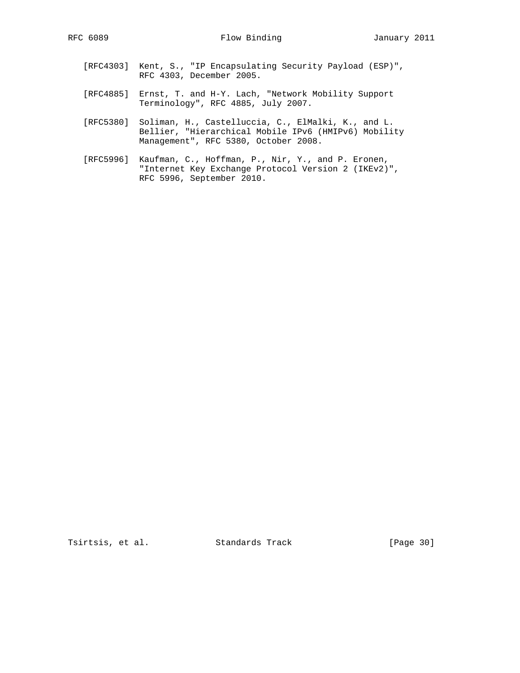- [RFC4303] Kent, S., "IP Encapsulating Security Payload (ESP)", RFC 4303, December 2005.
- [RFC4885] Ernst, T. and H-Y. Lach, "Network Mobility Support Terminology", RFC 4885, July 2007.
- [RFC5380] Soliman, H., Castelluccia, C., ElMalki, K., and L. Bellier, "Hierarchical Mobile IPv6 (HMIPv6) Mobility Management", RFC 5380, October 2008.
- [RFC5996] Kaufman, C., Hoffman, P., Nir, Y., and P. Eronen, "Internet Key Exchange Protocol Version 2 (IKEv2)", RFC 5996, September 2010.